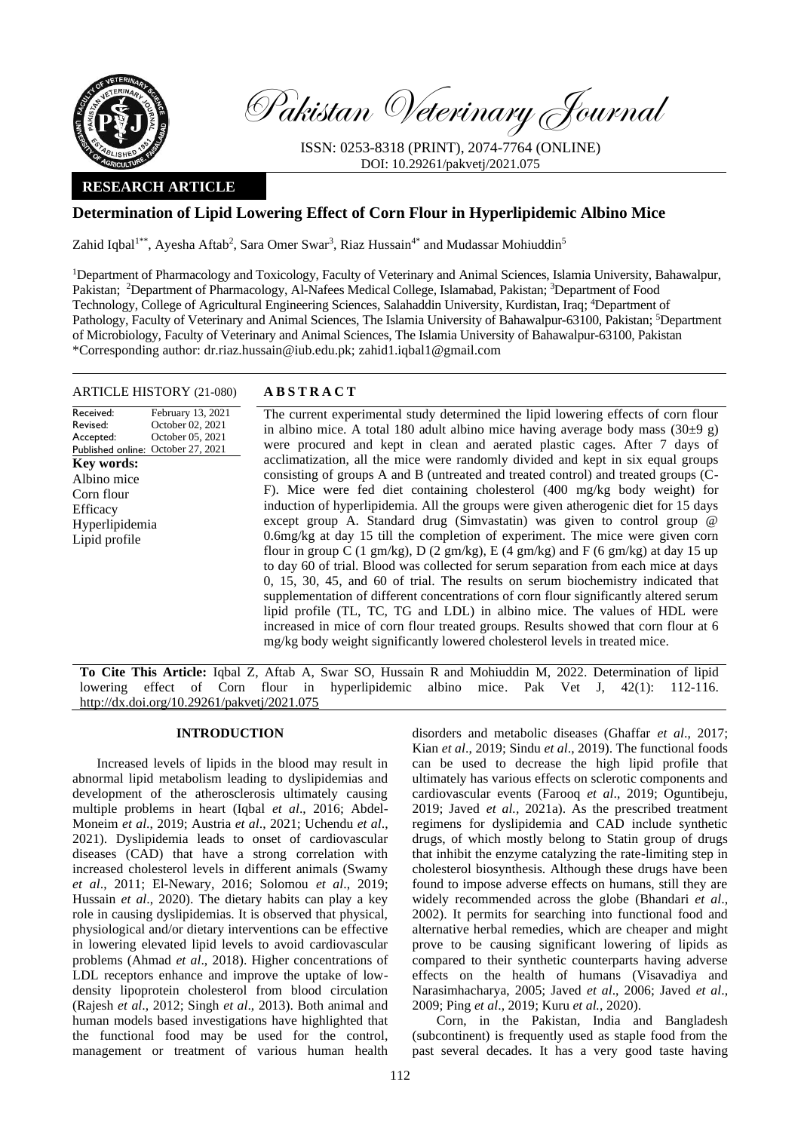

Pakistan Veterinary Journal

ISSN: 0253-8318 (PRINT), 2074-7764 (ONLINE) DOI: 10.29261/pakvetj/2021.075

# **RESEARCH ARTICLE**

# **Determination of Lipid Lowering Effect of Corn Flour in Hyperlipidemic Albino Mice**

Zahid Iqbal<sup>1\*\*</sup>, Ayesha Aftab<sup>2</sup>, Sara Omer Swar<sup>3</sup>, Riaz Hussain<sup>4\*</sup> and Mudassar Mohiuddin<sup>5</sup>

<sup>1</sup>Department of Pharmacology and Toxicology, Faculty of Veterinary and Animal Sciences, Islamia University, Bahawalpur, Pakistan; <sup>2</sup>Department of Pharmacology, Al-Nafees Medical College, Islamabad, Pakistan; <sup>3</sup>Department of Food Technology, College of Agricultural Engineering Sciences, Salahaddin University, Kurdistan, Iraq; <sup>4</sup>Department of Pathology, Faculty of Veterinary and Animal Sciences, The Islamia University of Bahawalpur-63100, Pakistan; <sup>5</sup>Department of Microbiology, Faculty of Veterinary and Animal Sciences, The Islamia University of Bahawalpur-63100, Pakistan \*Corresponding author: dr.riaz.hussain@iub.edu.pk; zahid1.iqbal1@gmail.com

#### ARTICLE HISTORY (21-080) **A B S T R A C T**

Received: Revised: Accepted:

**Key words:**  Albino mice Corn flour **Efficacy** Hyperlipidemia Lipid profile

Published online: October 27, 2021 February 13, 2021 October 02, 2021 October 05, 2021 The current experimental study determined the lipid lowering effects of corn flour in albino mice. A total 180 adult albino mice having average body mass  $(30\pm9 \text{ g})$ were procured and kept in clean and aerated plastic cages. After 7 days of acclimatization, all the mice were randomly divided and kept in six equal groups consisting of groups A and B (untreated and treated control) and treated groups (C-F). Mice were fed diet containing cholesterol (400 mg/kg body weight) for induction of hyperlipidemia. All the groups were given atherogenic diet for 15 days except group A. Standard drug (Simvastatin) was given to control group @ 0.6mg/kg at day 15 till the completion of experiment. The mice were given corn flour in group C (1 gm/kg), D (2 gm/kg), E (4 gm/kg) and F (6 gm/kg) at day 15 up to day 60 of trial. Blood was collected for serum separation from each mice at days 0, 15, 30, 45, and 60 of trial. The results on serum biochemistry indicated that supplementation of different concentrations of corn flour significantly altered serum lipid profile (TL, TC, TG and LDL) in albino mice. The values of HDL were increased in mice of corn flour treated groups. Results showed that corn flour at 6 mg/kg body weight significantly lowered cholesterol levels in treated mice.

**To Cite This Article:** Iqbal Z, Aftab A, Swar SO, Hussain R and Mohiuddin M, 2022. Determination of lipid lowering effect of Corn flour in hyperlipidemic albino mice. Pak Vet J, 42(1): 112-116. [http://dx.doi.org/10.29261/pakvetj/2021.075](http://pvj.com.pk/pdf-files/42_1/112-116.pdf)

# **INTRODUCTION**

Increased levels of lipids in the blood may result in abnormal lipid metabolism leading to dyslipidemias and development of the atherosclerosis ultimately causing multiple problems in heart (Iqbal *et al*., 2016; Abdel-Moneim *et al*., 2019; Austria *et al*., 2021; Uchendu *et al*., 2021). Dyslipidemia leads to onset of cardiovascular diseases (CAD) that have a strong correlation with increased cholesterol levels in different animals (Swamy *et al*., 2011; El-Newary, 2016; Solomou *et al*., 2019; Hussain *et al*., 2020). The dietary habits can play a key role in causing dyslipidemias. It is observed that physical, physiological and/or dietary interventions can be effective in lowering elevated lipid levels to avoid cardiovascular problems (Ahmad *et al*., 2018). Higher concentrations of LDL receptors enhance and improve the uptake of lowdensity lipoprotein cholesterol from blood circulation (Rajesh *et al*., 2012; Singh *et al*., 2013). Both animal and human models based investigations have highlighted that the functional food may be used for the control, management or treatment of various human health

disorders and metabolic diseases (Ghaffar *et al*., 2017; Kian *et al*., 2019; Sindu *et al*., 2019). The functional foods can be used to decrease the high lipid profile that ultimately has various effects on sclerotic components and cardiovascular events (Farooq *et al*., 2019; Oguntibeju, 2019; Javed *et al.,* 2021a). As the prescribed treatment regimens for dyslipidemia and CAD include synthetic drugs, of which mostly belong to Statin group of drugs that inhibit the enzyme catalyzing the rate-limiting step in cholesterol biosynthesis. Although these drugs have been found to impose adverse effects on humans, still they are widely recommended across the globe (Bhandari *et al*., 2002). It permits for searching into functional food and alternative herbal remedies, which are cheaper and might prove to be causing significant lowering of lipids as compared to their synthetic counterparts having adverse effects on the health of humans (Visavadiya and Narasimhacharya, 2005; Javed *et al*., 2006; Javed *et al*., 2009; Ping *et al*., 2019; Kuru *et al.*, 2020).

Corn, in the Pakistan, India and Bangladesh (subcontinent) is frequently used as staple food from the past several decades. It has a very good taste having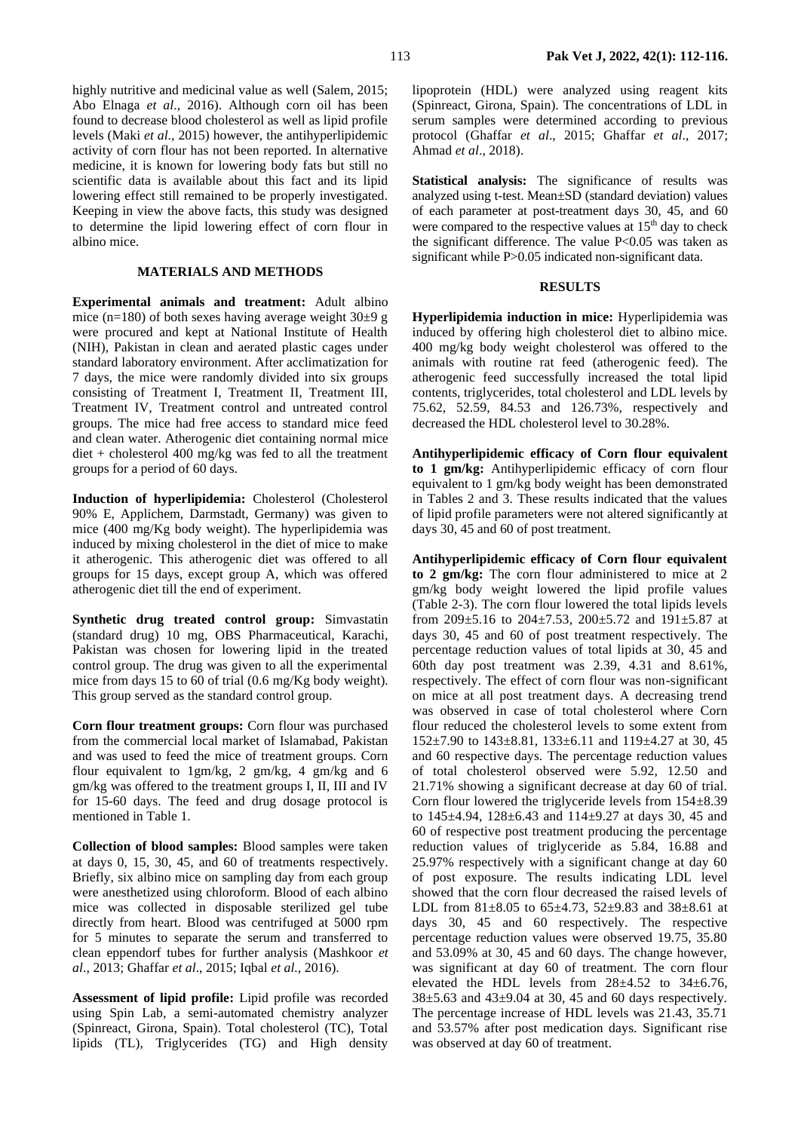highly nutritive and medicinal value as well (Salem, 2015; Abo Elnaga *et al*., 2016). Although corn oil has been found to decrease blood cholesterol as well as lipid profile levels (Maki *et al*., 2015) however, the antihyperlipidemic activity of corn flour has not been reported. In alternative medicine, it is known for lowering body fats but still no scientific data is available about this fact and its lipid lowering effect still remained to be properly investigated. Keeping in view the above facts, this study was designed to determine the lipid lowering effect of corn flour in albino mice.

## **MATERIALS AND METHODS**

**Experimental animals and treatment:** Adult albino mice (n=180) of both sexes having average weight  $30\pm9$  g were procured and kept at National Institute of Health (NIH), Pakistan in clean and aerated plastic cages under standard laboratory environment. After acclimatization for 7 days, the mice were randomly divided into six groups consisting of Treatment I, Treatment II, Treatment III, Treatment IV, Treatment control and untreated control groups. The mice had free access to standard mice feed and clean water. Atherogenic diet containing normal mice diet + cholesterol 400 mg/kg was fed to all the treatment groups for a period of 60 days.

**Induction of hyperlipidemia:** Cholesterol (Cholesterol 90% E, Applichem, Darmstadt, Germany) was given to mice (400 mg/Kg body weight). The hyperlipidemia was induced by mixing cholesterol in the diet of mice to make it atherogenic. This atherogenic diet was offered to all groups for 15 days, except group A, which was offered atherogenic diet till the end of experiment.

**Synthetic drug treated control group:** Simvastatin (standard drug) 10 mg, OBS Pharmaceutical, Karachi, Pakistan was chosen for lowering lipid in the treated control group. The drug was given to all the experimental mice from days 15 to 60 of trial (0.6 mg/Kg body weight). This group served as the standard control group.

**Corn flour treatment groups:** Corn flour was purchased from the commercial local market of Islamabad, Pakistan and was used to feed the mice of treatment groups. Corn flour equivalent to 1gm/kg, 2 gm/kg, 4 gm/kg and 6 gm/kg was offered to the treatment groups I, II, III and IV for 15-60 days. The feed and drug dosage protocol is mentioned in Table 1.

**Collection of blood samples:** Blood samples were taken at days 0, 15, 30, 45, and 60 of treatments respectively. Briefly, six albino mice on sampling day from each group were anesthetized using chloroform. Blood of each albino mice was collected in disposable sterilized gel tube directly from heart. Blood was centrifuged at 5000 rpm for 5 minutes to separate the serum and transferred to clean eppendorf tubes for further analysis (Mashkoor *et al*., 2013; Ghaffar *et al*., 2015; Iqbal *et al.,* 2016).

**Assessment of lipid profile:** Lipid profile was recorded using Spin Lab, a semi-automated chemistry analyzer (Spinreact, Girona, Spain). Total cholesterol (TC), Total lipids (TL), Triglycerides (TG) and High density

lipoprotein (HDL) were analyzed using reagent kits (Spinreact, Girona, Spain). The concentrations of LDL in serum samples were determined according to previous protocol (Ghaffar *et al*., 2015; Ghaffar *et al*., 2017; Ahmad *et al*., 2018).

**Statistical analysis:** The significance of results was analyzed using t-test. Mean±SD (standard deviation) values of each parameter at post-treatment days 30, 45, and 60 were compared to the respective values at 15<sup>th</sup> day to check the significant difference. The value P<0.05 was taken as significant while P>0.05 indicated non-significant data.

#### **RESULTS**

**Hyperlipidemia induction in mice:** Hyperlipidemia was induced by offering high cholesterol diet to albino mice. 400 mg/kg body weight cholesterol was offered to the animals with routine rat feed (atherogenic feed). The atherogenic feed successfully increased the total lipid contents, triglycerides, total cholesterol and LDL levels by 75.62, 52.59, 84.53 and 126.73%, respectively and decreased the HDL cholesterol level to 30.28%.

**Antihyperlipidemic efficacy of Corn flour equivalent to 1 gm/kg:** Antihyperlipidemic efficacy of corn flour equivalent to 1 gm/kg body weight has been demonstrated in Tables 2 and 3. These results indicated that the values of lipid profile parameters were not altered significantly at days 30, 45 and 60 of post treatment.

**Antihyperlipidemic efficacy of Corn flour equivalent to 2 gm/kg:** The corn flour administered to mice at 2 gm/kg body weight lowered the lipid profile values (Table 2-3). The corn flour lowered the total lipids levels from 209 $\pm$ 5.16 to 204 $\pm$ 7.53, 200 $\pm$ 5.72 and 191 $\pm$ 5.87 at days 30, 45 and 60 of post treatment respectively. The percentage reduction values of total lipids at 30, 45 and 60th day post treatment was 2.39, 4.31 and 8.61%, respectively. The effect of corn flour was non-significant on mice at all post treatment days. A decreasing trend was observed in case of total cholesterol where Corn flour reduced the cholesterol levels to some extent from 152±7.90 to 143±8.81, 133±6.11 and 119±4.27 at 30, 45 and 60 respective days. The percentage reduction values of total cholesterol observed were 5.92, 12.50 and 21.71% showing a significant decrease at day 60 of trial. Corn flour lowered the triglyceride levels from  $154\pm8.39$ to 145±4.94, 128±6.43 and 114±9.27 at days 30, 45 and 60 of respective post treatment producing the percentage reduction values of triglyceride as 5.84, 16.88 and 25.97% respectively with a significant change at day 60 of post exposure. The results indicating LDL level showed that the corn flour decreased the raised levels of LDL from 81±8.05 to 65±4.73, 52±9.83 and 38±8.61 at days 30, 45 and 60 respectively. The respective percentage reduction values were observed 19.75, 35.80 and 53.09% at 30, 45 and 60 days. The change however, was significant at day 60 of treatment. The corn flour elevated the HDL levels from  $28\pm4.52$  to  $34\pm6.76$ , 38±5.63 and 43±9.04 at 30, 45 and 60 days respectively. The percentage increase of HDL levels was 21.43, 35.71 and 53.57% after post medication days. Significant rise was observed at day 60 of treatment.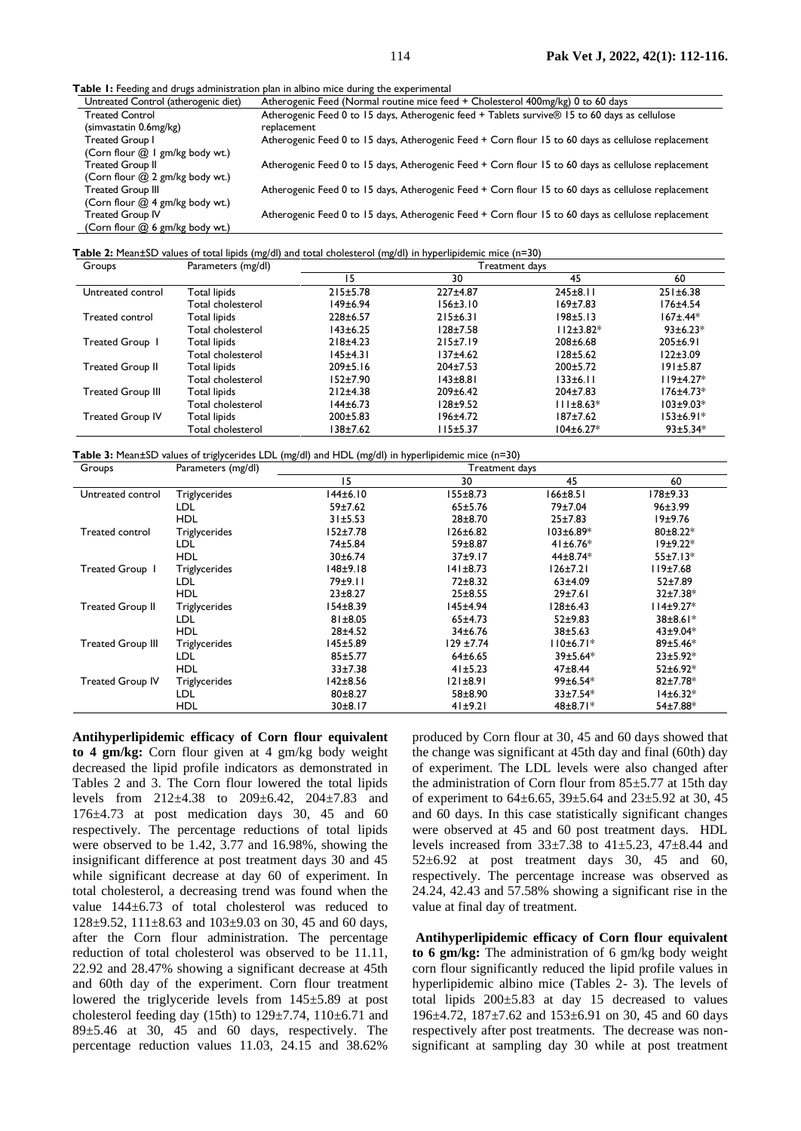**Table 1:** Feeding and drugs administration plan in albino mice during

| able in recently and enags administration plan in alone muce during the experimental |                                                                                                     |  |  |  |  |  |
|--------------------------------------------------------------------------------------|-----------------------------------------------------------------------------------------------------|--|--|--|--|--|
| Untreated Control (atherogenic diet)                                                 | Atherogenic Feed (Normal routine mice feed + Cholesterol 400mg/kg) 0 to 60 days                     |  |  |  |  |  |
| <b>Treated Control</b>                                                               | Atherogenic Feed 0 to 15 days, Atherogenic feed + Tablets survive® 15 to 60 days as cellulose       |  |  |  |  |  |
| (simvastatin 0.6mg/kg)                                                               | replacement                                                                                         |  |  |  |  |  |
| Treated Group I                                                                      | Atherogenic Feed 0 to 15 days, Atherogenic Feed + Corn flour 15 to 60 days as cellulose replacement |  |  |  |  |  |
| (Corn flour @ 1 gm/kg body wt.)                                                      |                                                                                                     |  |  |  |  |  |
| <b>Treated Group II</b>                                                              | Atherogenic Feed 0 to 15 days, Atherogenic Feed + Corn flour 15 to 60 days as cellulose replacement |  |  |  |  |  |
| (Corn flour @ 2 gm/kg body wt.)                                                      |                                                                                                     |  |  |  |  |  |
| <b>Treated Group III</b>                                                             | Atherogenic Feed 0 to 15 days, Atherogenic Feed + Corn flour 15 to 60 days as cellulose replacement |  |  |  |  |  |
| (Corn flour @ 4 gm/kg body wt.)                                                      |                                                                                                     |  |  |  |  |  |
| <b>Treated Group IV</b>                                                              | Atherogenic Feed 0 to 15 days, Atherogenic Feed + Corn flour 15 to 60 days as cellulose replacement |  |  |  |  |  |
| (Corn flour @ 6 gm/kg body wt.)                                                      |                                                                                                     |  |  |  |  |  |

**Table 2:** Mean±SD values of total lipids (mg/dl) and total cholesterol (mg/dl) in hyperlipidemic mice (n=30)

| Groups                   | Parameters (mg/dl)  | Treatment days |                |                 |                 |
|--------------------------|---------------------|----------------|----------------|-----------------|-----------------|
|                          |                     | 15             | 30             | 45              | 60              |
| Untreated control        | Total lipids        | 215±5.78       | $227 \pm 4.87$ | $245 \pm 8.11$  | 251±6.38        |
|                          | Total cholesterol   | 149±6.94       | 156±3.10       | $169 + 7.83$    | $176 + 4.54$    |
| Treated control          | <b>Total lipids</b> | $228 \pm 6.57$ | $215 \pm 6.31$ | $198 + 5.13$    | $167 \pm .44*$  |
|                          | Total cholesterol   | $143 \pm 6.25$ | $128 + 7.58$   | $112±3.82*$     | $93 \pm 6.23*$  |
| Treated Group 1          | Total lipids        | $218 + 4.23$   | 215±7.19       | 208±6.68        | $205 \pm 6.91$  |
|                          | Total cholesterol   | 145±4.31       | $137 + 4.62$   | $128 + 5.62$    | $122 \pm 3.09$  |
| <b>Treated Group II</b>  | Total lipids        | 209±5.16       | $204 \pm 7.53$ | $200 \pm 5.72$  | 191±5.87        |
|                          | Total cholesterol   | $152 + 7.90$   | $143 + 8.81$   | 133±6.11        | $119±4.27*$     |
| <b>Treated Group III</b> | Total lipids        | 212±4.38       | $209 \pm 6.42$ | $204 \pm 7.83$  | $176 + 4.73*$   |
|                          | Total cholesterol   | $144 \pm 6.73$ | $128 + 9.52$   | $111±8.63*$     | $103 \pm 9.03*$ |
| <b>Treated Group IV</b>  | Total lipids        | 200±5.83       | $196 \pm 4.72$ | $187 + 7.62$    | $153±6.91*$     |
|                          | Total cholesterol   | 38±7.62        | 115±5.37       | $104 \pm 6.27*$ | $93±5.34*$      |

**Table 3:** Mean±SD values of triglycerides LDL (mg/dl) and HDL (mg/dl) in hyperlipidemic mice (n=30)

| Treatment days |  |  |  |
|----------------|--|--|--|
| 60             |  |  |  |
| 178±9.33       |  |  |  |
| 96±3.99        |  |  |  |
| 19±9.76        |  |  |  |
| $80±8.22*$     |  |  |  |
| $19±9.22*$     |  |  |  |
| $55±7.13*$     |  |  |  |
| 119±7.68       |  |  |  |
| 52±7.89        |  |  |  |
| $32±7.38*$     |  |  |  |
| $114±9.27*$    |  |  |  |
| 38±8.61*       |  |  |  |
| $43±9.04*$     |  |  |  |
| 89±5.46*       |  |  |  |
| $23±5.92*$     |  |  |  |
| $52±6.92*$     |  |  |  |
| 82±7.78*       |  |  |  |
| $14±6.32*$     |  |  |  |
| 54±7.88*       |  |  |  |
|                |  |  |  |

**Antihyperlipidemic efficacy of Corn flour equivalent to 4 gm/kg:** Corn flour given at 4 gm/kg body weight decreased the lipid profile indicators as demonstrated in Tables 2 and 3. The Corn flour lowered the total lipids levels from 212±4.38 to 209±6.42, 204±7.83 and 176±4.73 at post medication days 30, 45 and 60 respectively. The percentage reductions of total lipids were observed to be 1.42, 3.77 and 16.98%, showing the insignificant difference at post treatment days 30 and 45 while significant decrease at day 60 of experiment. In total cholesterol, a decreasing trend was found when the value 144±6.73 of total cholesterol was reduced to 128 $\pm$ 9.52, 111 $\pm$ 8.63 and 103 $\pm$ 9.03 on 30, 45 and 60 days, after the Corn flour administration. The percentage reduction of total cholesterol was observed to be 11.11, 22.92 and 28.47% showing a significant decrease at 45th and 60th day of the experiment. Corn flour treatment lowered the triglyceride levels from 145±5.89 at post cholesterol feeding day (15th) to  $129\pm7.74$ ,  $110\pm6.71$  and 89±5.46 at 30, 45 and 60 days, respectively. The percentage reduction values 11.03, 24.15 and 38.62%

produced by Corn flour at 30, 45 and 60 days showed that the change was significant at 45th day and final (60th) day of experiment. The LDL levels were also changed after the administration of Corn flour from  $85 \pm 5.77$  at 15th day of experiment to 64±6.65, 39±5.64 and 23±5.92 at 30, 45 and 60 days. In this case statistically significant changes were observed at 45 and 60 post treatment days. HDL levels increased from 33±7.38 to 41±5.23, 47±8.44 and  $52\pm6.92$  at post treatment days 30, 45 and 60, respectively. The percentage increase was observed as 24.24, 42.43 and 57.58% showing a significant rise in the value at final day of treatment.

**Antihyperlipidemic efficacy of Corn flour equivalent to 6 gm/kg:** The administration of 6 gm/kg body weight corn flour significantly reduced the lipid profile values in hyperlipidemic albino mice (Tables 2- 3). The levels of total lipids 200±5.83 at day 15 decreased to values 196±4.72, 187±7.62 and 153±6.91 on 30, 45 and 60 days respectively after post treatments. The decrease was nonsignificant at sampling day 30 while at post treatment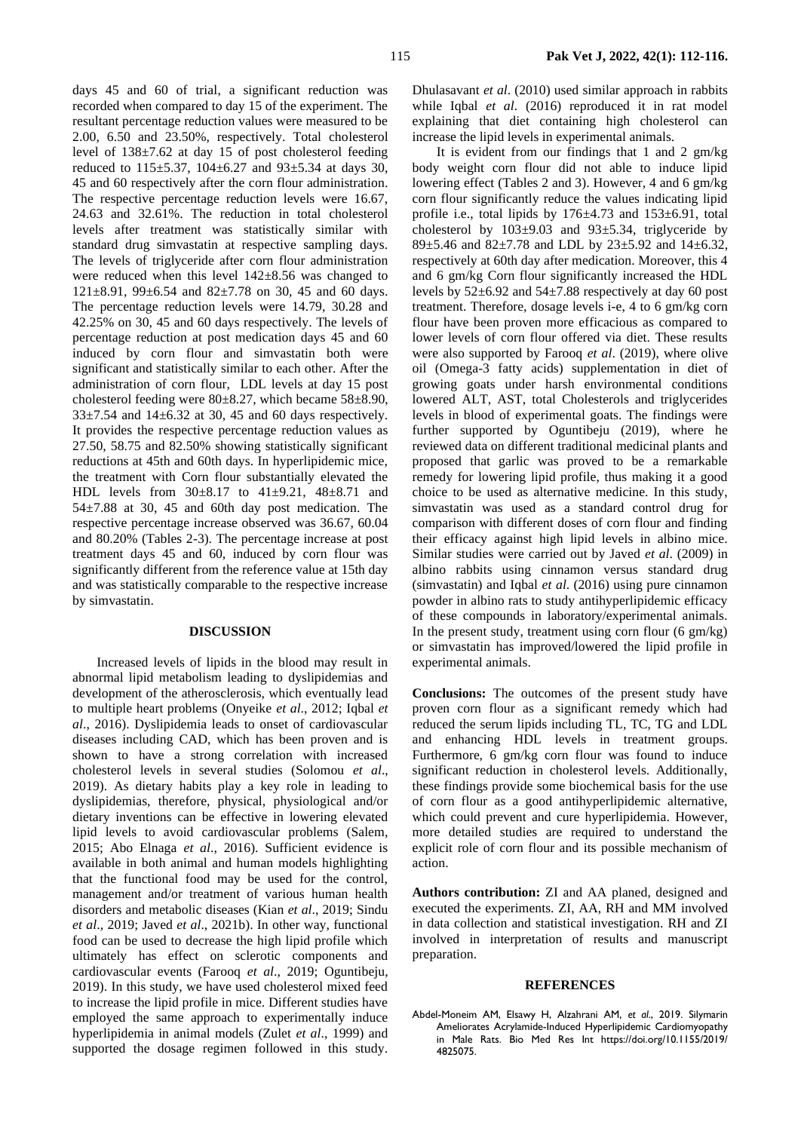days 45 and 60 of trial, a significant reduction was recorded when compared to day 15 of the experiment. The resultant percentage reduction values were measured to be 2.00, 6.50 and 23.50%, respectively. Total cholesterol level of 138±7.62 at day 15 of post cholesterol feeding reduced to 115±5.37, 104±6.27 and 93±5.34 at days 30, 45 and 60 respectively after the corn flour administration. The respective percentage reduction levels were 16.67, 24.63 and 32.61%. The reduction in total cholesterol levels after treatment was statistically similar with standard drug simvastatin at respective sampling days. The levels of triglyceride after corn flour administration were reduced when this level 142±8.56 was changed to 121±8.91, 99±6.54 and 82±7.78 on 30, 45 and 60 days. The percentage reduction levels were 14.79, 30.28 and 42.25% on 30, 45 and 60 days respectively. The levels of percentage reduction at post medication days 45 and 60 induced by corn flour and simvastatin both were significant and statistically similar to each other. After the administration of corn flour, LDL levels at day 15 post cholesterol feeding were 80±8.27, which became 58±8.90,  $33\pm7.54$  and  $14\pm6.32$  at 30, 45 and 60 days respectively. It provides the respective percentage reduction values as 27.50, 58.75 and 82.50% showing statistically significant reductions at 45th and 60th days. In hyperlipidemic mice, the treatment with Corn flour substantially elevated the HDL levels from 30±8.17 to 41±9.21, 48±8.71 and 54±7.88 at 30, 45 and 60th day post medication. The respective percentage increase observed was 36.67, 60.04 and 80.20% (Tables 2-3). The percentage increase at post treatment days 45 and 60, induced by corn flour was significantly different from the reference value at 15th day and was statistically comparable to the respective increase by simvastatin.

### **DISCUSSION**

Increased levels of lipids in the blood may result in abnormal lipid metabolism leading to dyslipidemias and development of the atherosclerosis, which eventually lead to multiple heart problems (Onyeike *et al*., 2012; Iqbal *et al*., 2016). Dyslipidemia leads to onset of cardiovascular diseases including CAD, which has been proven and is shown to have a strong correlation with increased cholesterol levels in several studies (Solomou *et al*., 2019). As dietary habits play a key role in leading to dyslipidemias, therefore, physical, physiological and/or dietary inventions can be effective in lowering elevated lipid levels to avoid cardiovascular problems (Salem, 2015; Abo Elnaga *et al*., 2016). Sufficient evidence is available in both animal and human models highlighting that the functional food may be used for the control, management and/or treatment of various human health disorders and metabolic diseases (Kian *et al*., 2019; Sindu *et al*., 2019; Javed *et al*., 2021b). In other way, functional food can be used to decrease the high lipid profile which ultimately has effect on sclerotic components and cardiovascular events (Farooq *et al*., 2019; Oguntibeju, 2019). In this study, we have used cholesterol mixed feed to increase the lipid profile in mice. Different studies have employed the same approach to experimentally induce hyperlipidemia in animal models (Zulet *et al*., 1999) and supported the dosage regimen followed in this study.

Dhulasavant *et al*. (2010) used similar approach in rabbits while Iqbal *et al*. (2016) reproduced it in rat model explaining that diet containing high cholesterol can increase the lipid levels in experimental animals.

It is evident from our findings that 1 and 2 gm/kg body weight corn flour did not able to induce lipid lowering effect (Tables 2 and 3). However, 4 and 6 gm/kg corn flour significantly reduce the values indicating lipid profile i.e., total lipids by 176±4.73 and 153±6.91, total cholesterol by  $103\pm9.03$  and  $93\pm5.34$ , triglyceride by 89 $\pm$ 5.46 and 82 $\pm$ 7.78 and LDL by 23 $\pm$ 5.92 and 14 $\pm$ 6.32, respectively at 60th day after medication. Moreover, this 4 and 6 gm/kg Corn flour significantly increased the HDL levels by 52±6.92 and 54±7.88 respectively at day 60 post treatment. Therefore, dosage levels i-e, 4 to 6 gm/kg corn flour have been proven more efficacious as compared to lower levels of corn flour offered via diet. These results were also supported by Farooq *et al*. (2019), where olive oil (Omega-3 fatty acids) supplementation in diet of growing goats under harsh environmental conditions lowered ALT, AST, total Cholesterols and triglycerides levels in blood of experimental goats. The findings were further supported by Oguntibeju (2019), where he reviewed data on different traditional medicinal plants and proposed that garlic was proved to be a remarkable remedy for lowering lipid profile, thus making it a good choice to be used as alternative medicine. In this study, simvastatin was used as a standard control drug for comparison with different doses of corn flour and finding their efficacy against high lipid levels in albino mice. Similar studies were carried out by Javed *et al*. (2009) in albino rabbits using cinnamon versus standard drug (simvastatin) and Iqbal *et al*. (2016) using pure cinnamon powder in albino rats to study antihyperlipidemic efficacy of these compounds in laboratory/experimental animals. In the present study, treatment using corn flour (6 gm/kg) or simvastatin has improved/lowered the lipid profile in experimental animals.

**Conclusions:** The outcomes of the present study have proven corn flour as a significant remedy which had reduced the serum lipids including TL, TC, TG and LDL and enhancing HDL levels in treatment groups. Furthermore, 6 gm/kg corn flour was found to induce significant reduction in cholesterol levels. Additionally, these findings provide some biochemical basis for the use of corn flour as a good antihyperlipidemic alternative, which could prevent and cure hyperlipidemia. However, more detailed studies are required to understand the explicit role of corn flour and its possible mechanism of action.

**Authors contribution:** ZI and AA planed, designed and executed the experiments. ZI, AA, RH and MM involved in data collection and statistical investigation. RH and ZI involved in interpretation of results and manuscript preparation.

#### **REFERENCES**

Abdel-Moneim AM, Elsawy H, Alzahrani AM, *et al*., 2019. Silymarin Ameliorates Acrylamide-Induced Hyperlipidemic Cardiomyopathy in Male Rats. Bio Med Res Int https://doi.org/10.1155/2019/ 4825075.